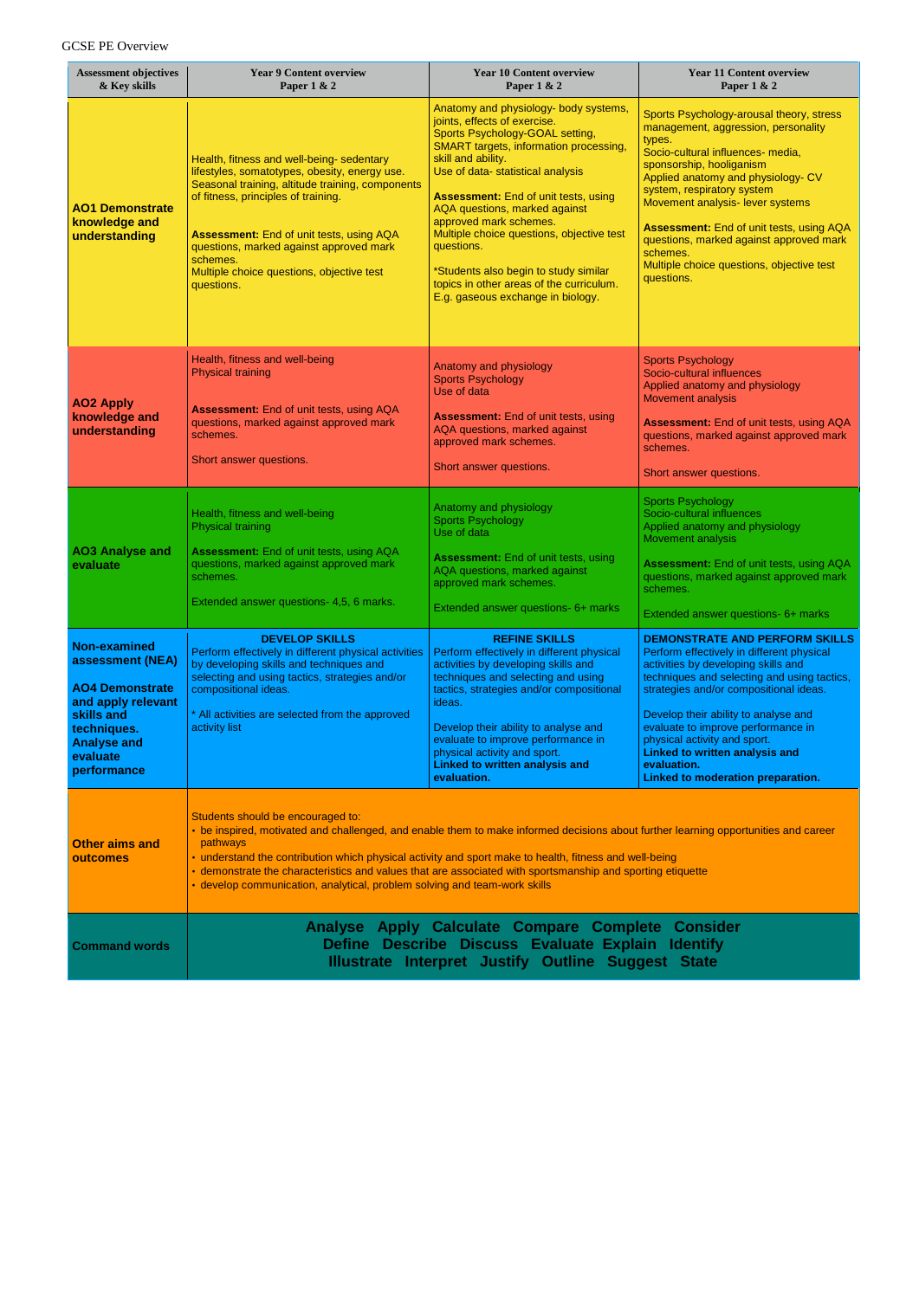## GCSE PE Overview

| <b>Assessment objectives</b><br>& Key skills                                                                                                                   | <b>Year 9 Content overview</b><br>Paper 1 & 2                                                                                                                                                                                                                                                                                                                                                                                                                                             | <b>Year 10 Content overview</b><br>Paper 1 & 2                                                                                                                                                                                                                                                                                                                                                                                                                                                                      | <b>Year 11 Content overview</b><br>Paper 1 & 2                                                                                                                                                                                                                                                                                                                                                                                          |  |  |  |  |
|----------------------------------------------------------------------------------------------------------------------------------------------------------------|-------------------------------------------------------------------------------------------------------------------------------------------------------------------------------------------------------------------------------------------------------------------------------------------------------------------------------------------------------------------------------------------------------------------------------------------------------------------------------------------|---------------------------------------------------------------------------------------------------------------------------------------------------------------------------------------------------------------------------------------------------------------------------------------------------------------------------------------------------------------------------------------------------------------------------------------------------------------------------------------------------------------------|-----------------------------------------------------------------------------------------------------------------------------------------------------------------------------------------------------------------------------------------------------------------------------------------------------------------------------------------------------------------------------------------------------------------------------------------|--|--|--|--|
| <b>AO1 Demonstrate</b><br>knowledge and<br>understanding                                                                                                       | Health, fitness and well-being- sedentary<br>lifestyles, somatotypes, obesity, energy use.<br>Seasonal training, altitude training, components<br>of fitness, principles of training.<br><b>Assessment:</b> End of unit tests, using AQA<br>questions, marked against approved mark<br>schemes.<br>Multiple choice questions, objective test<br>questions.                                                                                                                                | Anatomy and physiology- body systems,<br>joints, effects of exercise.<br>Sports Psychology-GOAL setting,<br><b>SMART</b> targets, information processing,<br>skill and ability.<br>Use of data- statistical analysis<br><b>Assessment:</b> End of unit tests, using<br>AQA questions, marked against<br>approved mark schemes.<br>Multiple choice questions, objective test<br>questions.<br>*Students also begin to study similar<br>topics in other areas of the curriculum.<br>E.g. gaseous exchange in biology. | Sports Psychology-arousal theory, stress<br>management, aggression, personality<br>types.<br>Socio-cultural influences- media,<br>sponsorship, hooliganism<br>Applied anatomy and physiology- CV<br>system, respiratory system<br>Movement analysis- lever systems<br><b>Assessment: End of unit tests, using AQA</b><br>questions, marked against approved mark<br>schemes.<br>Multiple choice questions, objective test<br>questions. |  |  |  |  |
| <b>AO2 Apply</b><br>knowledge and<br>understanding                                                                                                             | Health, fitness and well-being<br><b>Physical training</b><br>Assessment: End of unit tests, using AQA<br>questions, marked against approved mark<br>schemes.<br>Short answer questions.                                                                                                                                                                                                                                                                                                  | Anatomy and physiology<br><b>Sports Psychology</b><br>Use of data<br><b>Assessment:</b> End of unit tests, using<br>AQA questions, marked against<br>approved mark schemes.<br>Short answer questions.                                                                                                                                                                                                                                                                                                              | <b>Sports Psychology</b><br>Socio-cultural influences<br>Applied anatomy and physiology<br><b>Movement analysis</b><br>Assessment: End of unit tests, using AQA<br>questions, marked against approved mark<br>schemes.<br>Short answer questions.                                                                                                                                                                                       |  |  |  |  |
| <b>AO3 Analyse and</b><br>evaluate                                                                                                                             | Health, fitness and well-being<br><b>Physical training</b><br>Assessment: End of unit tests, using AQA<br>questions, marked against approved mark<br>schemes.<br>Extended answer questions- 4,5, 6 marks.                                                                                                                                                                                                                                                                                 | Anatomy and physiology<br><b>Sports Psychology</b><br>Use of data<br><b>Assessment:</b> End of unit tests, using<br>AQA questions, marked against<br>approved mark schemes.<br>Extended answer questions- 6+ marks                                                                                                                                                                                                                                                                                                  | <b>Sports Psychology</b><br>Socio-cultural influences<br>Applied anatomy and physiology<br><b>Movement analysis</b><br>Assessment: End of unit tests, using AQA<br>questions, marked against approved mark<br>schemes.<br>Extended answer questions- 6+ marks                                                                                                                                                                           |  |  |  |  |
| Non-examined<br>assessment (NEA)<br><b>AO4 Demonstrate</b><br>and apply relevant<br>skills and<br>techniques.<br><b>Analyse and</b><br>evaluate<br>performance | <b>DEVELOP SKILLS</b><br>Perform effectively in different physical activities<br>by developing skills and techniques and<br>selecting and using tactics, strategies and/or<br>compositional ideas.<br>* All activities are selected from the approved<br>activity list                                                                                                                                                                                                                    | <b>REFINE SKILLS</b><br>Perform effectively in different physical<br>activities by developing skills and<br>techniques and selecting and using<br>tactics, strategies and/or compositional<br>ideas.<br>Develop their ability to analyse and<br>evaluate to improve performance in<br>physical activity and sport.<br><b>Linked to written analysis and</b><br>evaluation.                                                                                                                                          | <b>DEMONSTRATE AND PERFORM SKILLS</b><br>Perform effectively in different physical<br>activities by developing skills and<br>techniques and selecting and using tactics,<br>strategies and/or compositional ideas.<br>Develop their ability to analyse and<br>evaluate to improve performance in<br>physical activity and sport.<br><b>Linked to written analysis and</b><br>evaluation.<br>Linked to moderation preparation.           |  |  |  |  |
| <b>Other aims and</b><br>outcomes                                                                                                                              | Students should be encouraged to:<br>• be inspired, motivated and challenged, and enable them to make informed decisions about further learning opportunities and career<br>pathways<br>• understand the contribution which physical activity and sport make to health, fitness and well-being<br>· demonstrate the characteristics and values that are associated with sportsmanship and sporting etiquette<br>• develop communication, analytical, problem solving and team-work skills |                                                                                                                                                                                                                                                                                                                                                                                                                                                                                                                     |                                                                                                                                                                                                                                                                                                                                                                                                                                         |  |  |  |  |
| <b>Command words</b>                                                                                                                                           | Analyse Apply Calculate Compare Complete Consider<br>Define Describe Discuss Evaluate Explain Identify                                                                                                                                                                                                                                                                                                                                                                                    |                                                                                                                                                                                                                                                                                                                                                                                                                                                                                                                     |                                                                                                                                                                                                                                                                                                                                                                                                                                         |  |  |  |  |

**Illustrate Interpret Justify Outline Suggest State**